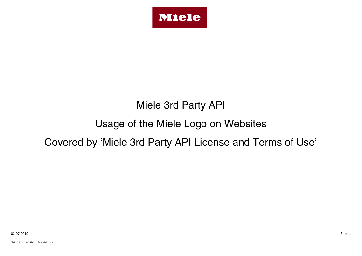

# Miele 3rd Party API

# Usage of the Miele Logo on Websites

## Covered by 'Miele 3rd Party API License and Terms of Use'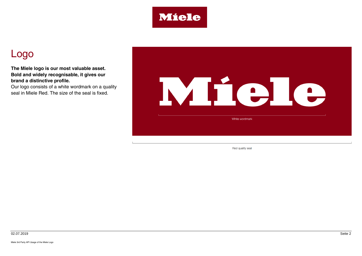

## Logo

**The Miele logo is our most valuable asset. Bold and widely recognisable, it gives our brand a distinctive profile.**

Our logo consists of a white wordmark on a quality seal in Miele Red. The size of the seal is fixed.



Red quality seal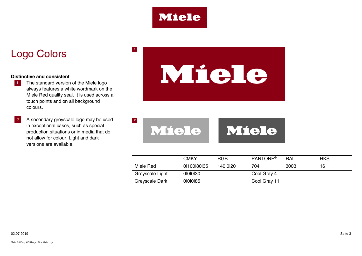

 $\vert 1 \vert$ 

## Logo Colors

#### **Distinctive and consistent**

- **1** The standard version of the Miele logo always features a white wordmark on the Miele Red quality seal. It is used across all touch points and on all background colours.
- **2** A secondary greyscale logo may be used in exceptional cases, such as special production situations or in media that do not allow for colour. Light and dark versions are available.

# Miele

 $\vert 2 \vert$ Miele Miele

|                 | <b>CMKY</b> | <b>RGB</b> | <b>PANTONE®</b> | <b>RAL</b> | <b>HKS</b> |
|-----------------|-------------|------------|-----------------|------------|------------|
| Miele Red       | 01100180135 | 1400020    | 704             | 3003       | 16         |
| Greyscale Light | 0000130     |            | Cool Gray 4     |            |            |
| Greyscale Dark  | 01010185    |            | Cool Gray 11    |            |            |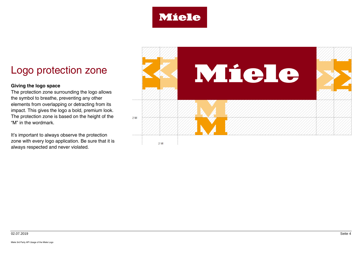

# Logo protection zone

#### **Giving the logo space**

The protection zone surrounding the logo allows the symbol to breathe, preventing any other elements from overlapping or detracting from its impact. This gives the logo a bold, premium look. The protection zone is based on the height of the "M" in the wordmark.

It's important to always observe the protection zone with every logo application. Be sure that it is always respected and never violated.

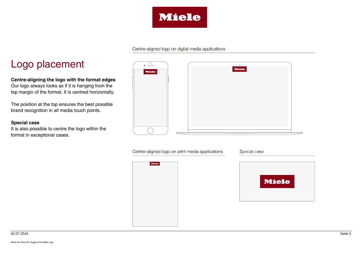

#### Centre-aligned logo on digital media applications

## Logo placement

**Centre-aligning the logo with the format edges** Our logo always looks as if it is hanging from the top margin of the format. It is centred horizontally.

The position at the top ensures the best possible brand recognition in all media touch points.

#### **Special case**

It is also possible to centre the logo within the format in exceptional cases.

| ۰<br>$\bullet$ $\qquad$ | $\bullet$    |  |
|-------------------------|--------------|--|
| <b>Miele</b>            | <b>Miele</b> |  |
|                         |              |  |
|                         |              |  |
|                         |              |  |
|                         |              |  |
|                         |              |  |
|                         |              |  |
|                         |              |  |
|                         |              |  |
|                         |              |  |
|                         |              |  |

Centre-aligned logo on print media applications

Miele

Special case

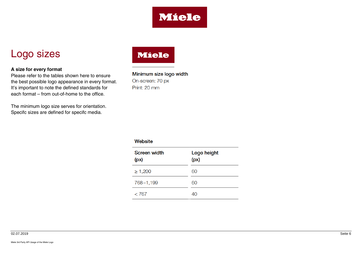

## Logo sizes

#### **A size for every format**

Please refer to the tables shown here to ensure the best possible logo appearance in every format. It's important to note the defined standards for each format – from out-of-home to the office.

The minimum logo size serves for orientation. Specifc sizes are defined for specifc media.

## **Miele**

Minimum size logo width On-screen: 70 px Print: 20 mm

#### Website

| <b>Screen width</b><br>(px) | Logo height<br>(px) |  |
|-----------------------------|---------------------|--|
| $\geq 1,200$                | 60                  |  |
| 768-1,199                   | 60                  |  |
| < 767                       | 40                  |  |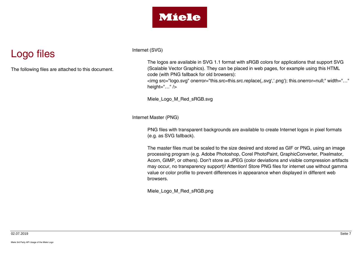

# Logo files

The following files are attached to this document.

Internet (SVG)

The logos are available in SVG 1.1 format with sRGB colors for applications that support SVG (Scalable Vector Graphics). They can be placed in web pages, for example using this HTML code (with PNG fallback for old browsers):

<img src="logo.svg" onerror="this.src=this.src.replace('.svg','.png'); this.onerror=null;" width="…" height=" $\dots$ " />

Miele\_Logo\_M\_Red\_sRGB.svg

Internet Master (PNG)

PNG files with transparent backgrounds are available to create Internet logos in pixel formats (e.g. as SVG fallback).

The master files must be scaled to the size desired and stored as GIF or PNG, using an image processing program (e.g. Adobe Photoshop, Corel PhotoPaint, GraphicConverter, Pixelmator, Acorn, GIMP, or others). Don't store as JPEG (color deviations and visible compression artifacts may occur, no transparency support)! Attention! Store PNG files for internet use without gamma value or color profile to prevent differences in appearance when displayed in different web browsers.

Miele\_Logo\_M\_Red\_sRGB.png